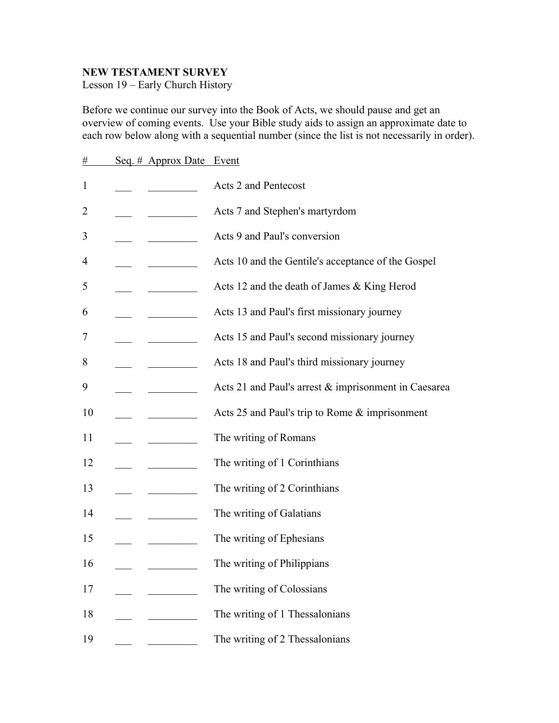## **NEW TESTAMENT SURVEY**

Lesson 19 – Early Church History

Before we continue our survey into the Book of Acts, we should pause and get an overview of coming events. Use your Bible study aids to assign an approximate date to each row below along with a sequential number (since the list is not necessarily in order).

| #              | Seq. # Approx Date Event |                                                        |
|----------------|--------------------------|--------------------------------------------------------|
| $\mathbf{1}$   |                          | Acts 2 and Pentecost                                   |
| $\overline{2}$ |                          | Acts 7 and Stephen's martyrdom                         |
| 3              |                          | Acts 9 and Paul's conversion                           |
| 4              |                          | Acts 10 and the Gentile's acceptance of the Gospel     |
| 5              |                          | Acts 12 and the death of James & King Herod            |
| 6              |                          | Acts 13 and Paul's first missionary journey            |
| 7              |                          | Acts 15 and Paul's second missionary journey           |
| 8              |                          | Acts 18 and Paul's third missionary journey            |
| 9              |                          | Acts 21 and Paul's arrest $&$ imprisonment in Caesarea |
| 10             |                          | Acts 25 and Paul's trip to Rome & imprisonment         |
| 11             |                          | The writing of Romans                                  |
| 12             |                          | The writing of 1 Corinthians                           |
| 13             |                          | The writing of 2 Corinthians                           |
| 14             |                          | The writing of Galatians                               |
| 15             |                          | The writing of Ephesians                               |
| 16             |                          | The writing of Philippians                             |
| 17             |                          | The writing of Colossians                              |
| 18             |                          | The writing of 1 Thessalonians                         |
| 19             |                          | The writing of 2 Thessalonians                         |